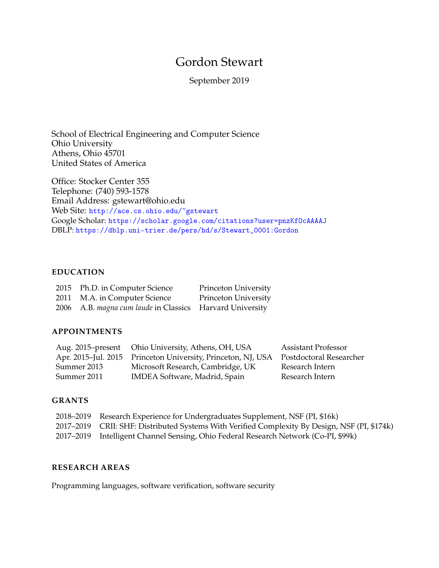# Gordon Stewart

September 2019

School of Electrical Engineering and Computer Science Ohio University Athens, Ohio 45701 United States of America

Office: Stocker Center 355 Telephone: (740) 593-1578 Email Address: gstewart@ohio.edu Web Site: <http://ace.cs.ohio.edu/~gstewart> Google Scholar: <https://scholar.google.com/citations?user=pnzKfOcAAAAJ> DBLP: [https://dblp.uni-trier.de/pers/hd/s/Stewart\\_0001:Gordon](https://dblp.uni-trier.de/pers/hd/s/Stewart_0001:Gordon)

## **EDUCATION**

| 2015 Ph.D. in Computer Science                           | Princeton University |
|----------------------------------------------------------|----------------------|
| 2011 M.A. in Computer Science                            | Princeton University |
| 2006 A.B. magna cum laude in Classics Harvard University |                      |

## **APPOINTMENTS**

|             | Aug. 2015–present Ohio University, Athens, OH, USA                                   | <b>Assistant Professor</b> |
|-------------|--------------------------------------------------------------------------------------|----------------------------|
|             | Apr. 2015–Jul. 2015 Princeton University, Princeton, NJ, USA Postdoctoral Researcher |                            |
| Summer 2013 | Microsoft Research, Cambridge, UK                                                    | Research Intern            |
| Summer 2011 | IMDEA Software, Madrid, Spain                                                        | Research Intern            |

#### **GRANTS**

| 2018–2019 Research Experience for Undergraduates Supplement, NSF (PI, \$16k)                  |
|-----------------------------------------------------------------------------------------------|
| 2017–2019 CRII: SHF: Distributed Systems With Verified Complexity By Design, NSF (PI, \$174k) |
| 2017–2019 Intelligent Channel Sensing, Ohio Federal Research Network (Co-PI, \$99k)           |

## **RESEARCH AREAS**

Programming languages, software verification, software security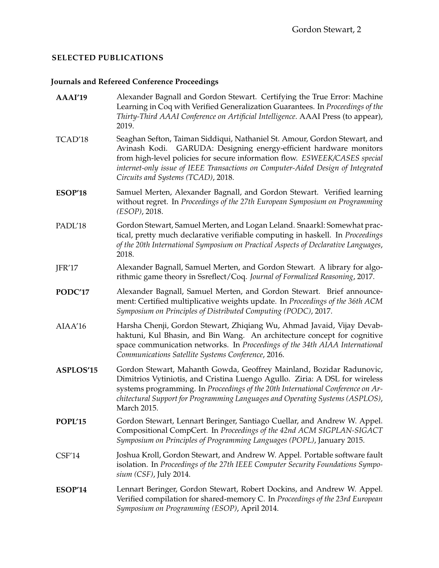# **SELECTED PUBLICATIONS**

# **Journals and Refereed Conference Proceedings**

| AAAI'19        | Alexander Bagnall and Gordon Stewart. Certifying the True Error: Machine<br>Learning in Coq with Verified Generalization Guarantees. In Proceedings of the<br>Thirty-Third AAAI Conference on Artificial Intelligence. AAAI Press (to appear),<br>2019.                                                                                                |
|----------------|--------------------------------------------------------------------------------------------------------------------------------------------------------------------------------------------------------------------------------------------------------------------------------------------------------------------------------------------------------|
| TCAD'18        | Seaghan Sefton, Taiman Siddiqui, Nathaniel St. Amour, Gordon Stewart, and<br>Avinash Kodi. GARUDA: Designing energy-efficient hardware monitors<br>from high-level policies for secure information flow. ESWEEK/CASES special<br>internet-only issue of IEEE Transactions on Computer-Aided Design of Integrated<br>Circuits and Systems (TCAD), 2018. |
| <b>ESOP'18</b> | Samuel Merten, Alexander Bagnall, and Gordon Stewart. Verified learning<br>without regret. In Proceedings of the 27th European Symposium on Programming<br>(ESOP), 2018.                                                                                                                                                                               |
| PADL'18        | Gordon Stewart, Samuel Merten, and Logan Leland. Snaarkl: Somewhat prac-<br>tical, pretty much declarative verifiable computing in haskell. In Proceedings<br>of the 20th International Symposium on Practical Aspects of Declarative Languages,<br>2018.                                                                                              |
| JFR'17         | Alexander Bagnall, Samuel Merten, and Gordon Stewart. A library for algo-<br>rithmic game theory in Ssreflect/Coq. Journal of Formalized Reasoning, 2017.                                                                                                                                                                                              |
| PODC'17        | Alexander Bagnall, Samuel Merten, and Gordon Stewart. Brief announce-<br>ment: Certified multiplicative weights update. In Proceedings of the 36th ACM<br>Symposium on Principles of Distributed Computing (PODC), 2017.                                                                                                                               |
| AIAA'16        | Harsha Chenji, Gordon Stewart, Zhiqiang Wu, Ahmad Javaid, Vijay Devab-<br>haktuni, Kul Bhasin, and Bin Wang. An architecture concept for cognitive<br>space communication networks. In Proceedings of the 34th AIAA International<br>Communications Satellite Systems Conference, 2016.                                                                |
| ASPLOS'15      | Gordon Stewart, Mahanth Gowda, Geoffrey Mainland, Bozidar Radunovic,<br>Dimitrios Vytiniotis, and Cristina Luengo Agullo. Ziria: A DSL for wireless<br>systems programming. In Proceedings of the 20th International Conference on Ar-<br>chitectural Support for Programming Languages and Operating Systems (ASPLOS),<br>March 2015.                 |
| POPL'15        | Gordon Stewart, Lennart Beringer, Santiago Cuellar, and Andrew W. Appel.<br>Compositional CompCert. In Proceedings of the 42nd ACM SIGPLAN-SIGACT<br>Symposium on Principles of Programming Languages (POPL), January 2015.                                                                                                                            |
| CSF'14         | Joshua Kroll, Gordon Stewart, and Andrew W. Appel. Portable software fault<br>isolation. In Proceedings of the 27th IEEE Computer Security Foundations Sympo-<br>sium (CSF), July 2014.                                                                                                                                                                |
| ESOP'14        | Lennart Beringer, Gordon Stewart, Robert Dockins, and Andrew W. Appel.<br>Verified compilation for shared-memory C. In Proceedings of the 23rd European<br>Symposium on Programming (ESOP), April 2014.                                                                                                                                                |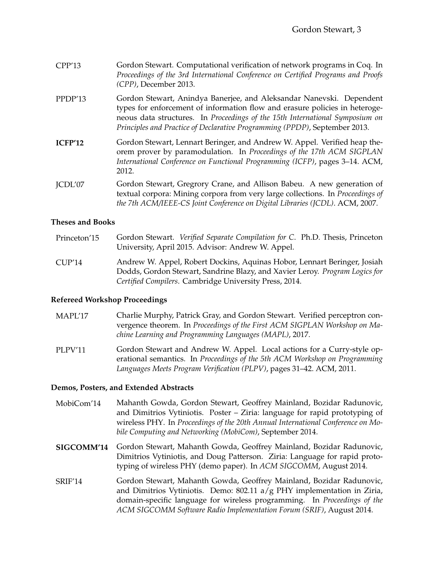| CPP'13 | Gordon Stewart. Computational verification of network programs in Coq. In        |
|--------|----------------------------------------------------------------------------------|
|        | Proceedings of the 3rd International Conference on Certified Programs and Proofs |
|        | $(CPP)$ , December 2013.                                                         |

- PPDP'13 Gordon Stewart, Anindya Banerjee, and Aleksandar Nanevski. Dependent types for enforcement of information flow and erasure policies in heterogeneous data structures. In *Proceedings of the 15th International Symposium on Principles and Practice of Declarative Programming (PPDP)*, September 2013.
- **ICFP'12** Gordon Stewart, Lennart Beringer, and Andrew W. Appel. Verified heap theorem prover by paramodulation. In *Proceedings of the 17th ACM SIGPLAN International Conference on Functional Programming (ICFP)*, pages 3–14. ACM, 2012.
- JCDL'07 Gordon Stewart, Gregrory Crane, and Allison Babeu. A new generation of textual corpora: Mining corpora from very large collections. In *Proceedings of the 7th ACM/IEEE-CS Joint Conference on Digital Libraries (JCDL)*. ACM, 2007.

#### **Theses and Books**

- Princeton'15 Gordon Stewart. *Verified Separate Compilation for C*. Ph.D. Thesis, Princeton University, April 2015. Advisor: Andrew W. Appel. CUP'14 Andrew W. Appel, Robert Dockins, Aquinas Hobor, Lennart Beringer, Josiah
	- Dodds, Gordon Stewart, Sandrine Blazy, and Xavier Leroy. *Program Logics for Certified Compilers*. Cambridge University Press, 2014.

#### **Refereed Workshop Proceedings**

- MAPL'17 Charlie Murphy, Patrick Gray, and Gordon Stewart. Verified perceptron convergence theorem. In *Proceedings of the First ACM SIGPLAN Workshop on Machine Learning and Programming Languages (MAPL)*, 2017.
- PLPV'11 Gordon Stewart and Andrew W. Appel. Local actions for a Curry-style operational semantics. In *Proceedings of the 5th ACM Workshop on Programming Languages Meets Program Verification (PLPV)*, pages 31–42. ACM, 2011.

#### **Demos, Posters, and Extended Abstracts**

- MobiCom'14 Mahanth Gowda, Gordon Stewart, Geoffrey Mainland, Bozidar Radunovic, and Dimitrios Vytiniotis. Poster – Ziria: language for rapid prototyping of wireless PHY. In *Proceedings of the 20th Annual International Conference on Mobile Computing and Networking (MobiCom)*, September 2014.
- **SIGCOMM'14** Gordon Stewart, Mahanth Gowda, Geoffrey Mainland, Bozidar Radunovic, Dimitrios Vytiniotis, and Doug Patterson. Ziria: Language for rapid prototyping of wireless PHY (demo paper). In *ACM SIGCOMM*, August 2014.
- SRIF'14 Gordon Stewart, Mahanth Gowda, Geoffrey Mainland, Bozidar Radunovic, and Dimitrios Vytiniotis. Demo:  $802.11$  a/g PHY implementation in Ziria, domain-specific language for wireless programming. In *Proceedings of the ACM SIGCOMM Software Radio Implementation Forum (SRIF)*, August 2014.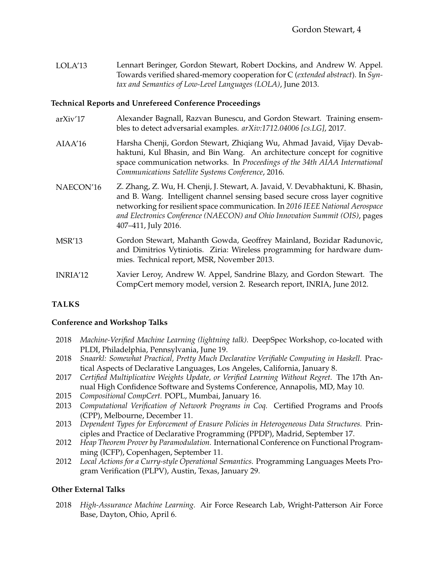LOLA'13 Lennart Beringer, Gordon Stewart, Robert Dockins, and Andrew W. Appel. Towards verified shared-memory cooperation for C (*extended abstract*). In *Syntax and Semantics of Low-Level Languages (LOLA)*, June 2013.

#### **Technical Reports and Unrefereed Conference Proceedings**

- arXiv'17 Alexander Bagnall, Razvan Bunescu, and Gordon Stewart. Training ensembles to detect adversarial examples. *arXiv:1712.04006 [cs.LG]*, 2017.
- AIAA'16 Harsha Chenji, Gordon Stewart, Zhiqiang Wu, Ahmad Javaid, Vijay Devabhaktuni, Kul Bhasin, and Bin Wang. An architecture concept for cognitive space communication networks. In *Proceedings of the 34th AIAA International Communications Satellite Systems Conference*, 2016.
- NAECON'16 Z. Zhang, Z. Wu, H. Chenji, J. Stewart, A. Javaid, V. Devabhaktuni, K. Bhasin, and B. Wang. Intelligent channel sensing based secure cross layer cognitive networking for resilient space communication. In *2016 IEEE National Aerospace and Electronics Conference (NAECON) and Ohio Innovation Summit (OIS)*, pages 407–411, July 2016.
- MSR'13 Gordon Stewart, Mahanth Gowda, Geoffrey Mainland, Bozidar Radunovic, and Dimitrios Vytiniotis. Ziria: Wireless programming for hardware dummies. Technical report, MSR, November 2013.
- INRIA'12 Xavier Leroy, Andrew W. Appel, Sandrine Blazy, and Gordon Stewart. The CompCert memory model, version 2. Research report, INRIA, June 2012.

#### **TALKS**

#### **Conference and Workshop Talks**

- 2018 *Machine-Verified Machine Learning (lightning talk).* DeepSpec Workshop, co-located with PLDI, Philadelphia, Pennsylvania, June 19.
- 2018 *Snaarkl: Somewhat Practical, Pretty Much Declarative Verifiable Computing in Haskell.* Practical Aspects of Declarative Languages, Los Angeles, California, January 8.
- 2017 *Certified Multiplicative Weights Update, or Verified Learning Without Regret.* The 17th Annual High Confidence Software and Systems Conference, Annapolis, MD, May 10.
- 2015 *Compositional CompCert.* POPL, Mumbai, January 16.
- 2013 *Computational Verification of Network Programs in Coq.* Certified Programs and Proofs (CPP), Melbourne, December 11.
- 2013 *Dependent Types for Enforcement of Erasure Policies in Heterogeneous Data Structures.* Principles and Practice of Declarative Programming (PPDP), Madrid, September 17.
- 2012 *Heap Theorem Prover by Paramodulation.* International Conference on Functional Programming (ICFP), Copenhagen, September 11.
- 2012 *Local Actions for a Curry-style Operational Semantics.* Programming Languages Meets Program Verification (PLPV), Austin, Texas, January 29.

#### **Other External Talks**

2018 *High-Assurance Machine Learning.* Air Force Research Lab, Wright-Patterson Air Force Base, Dayton, Ohio, April 6.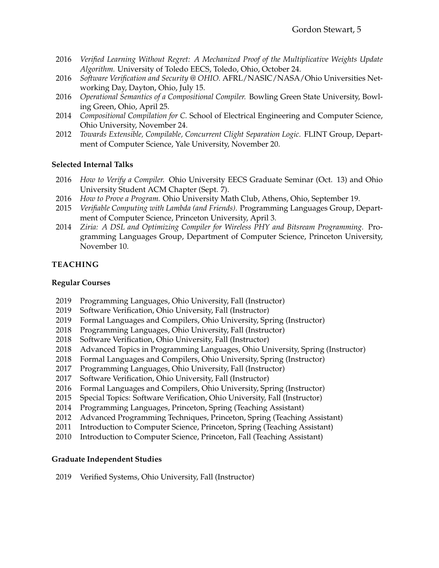- 2016 *Verified Learning Without Regret: A Mechanized Proof of the Multiplicative Weights Update Algorithm.* University of Toledo EECS, Toledo, Ohio, October 24.
- 2016 *Software Verification and Security @ OHIO.* AFRL/NASIC/NASA/Ohio Universities Networking Day, Dayton, Ohio, July 15.
- 2016 *Operational Semantics of a Compositional Compiler.* Bowling Green State University, Bowling Green, Ohio, April 25.
- 2014 *Compositional Compilation for C.* School of Electrical Engineering and Computer Science, Ohio University, November 24.
- 2012 *Towards Extensible, Compilable, Concurrent Clight Separation Logic.* FLINT Group, Department of Computer Science, Yale University, November 20.

#### **Selected Internal Talks**

- 2016 *How to Verify a Compiler.* Ohio University EECS Graduate Seminar (Oct. 13) and Ohio University Student ACM Chapter (Sept. 7).
- 2016 *How to Prove a Program.* Ohio University Math Club, Athens, Ohio, September 19.
- 2015 *Verifiable Computing with Lambda (and Friends).* Programming Languages Group, Department of Computer Science, Princeton University, April 3.
- 2014 *Ziria: A DSL and Optimizing Compiler for Wireless PHY and Bitsream Programming.* Programming Languages Group, Department of Computer Science, Princeton University, November 10.

### **TEACHING**

#### **Regular Courses**

- 2019 Programming Languages, Ohio University, Fall (Instructor)
- 2019 Software Verification, Ohio University, Fall (Instructor)
- 2019 Formal Languages and Compilers, Ohio University, Spring (Instructor)
- 2018 Programming Languages, Ohio University, Fall (Instructor)
- 2018 Software Verification, Ohio University, Fall (Instructor)
- 2018 Advanced Topics in Programming Languages, Ohio University, Spring (Instructor)
- 2018 Formal Languages and Compilers, Ohio University, Spring (Instructor)
- 2017 Programming Languages, Ohio University, Fall (Instructor)
- 2017 Software Verification, Ohio University, Fall (Instructor)
- 2016 Formal Languages and Compilers, Ohio University, Spring (Instructor)
- 2015 Special Topics: Software Verification, Ohio University, Fall (Instructor)
- 2014 Programming Languages, Princeton, Spring (Teaching Assistant)
- 2012 Advanced Programming Techniques, Princeton, Spring (Teaching Assistant)
- 2011 Introduction to Computer Science, Princeton, Spring (Teaching Assistant)
- 2010 Introduction to Computer Science, Princeton, Fall (Teaching Assistant)

#### **Graduate Independent Studies**

2019 Verified Systems, Ohio University, Fall (Instructor)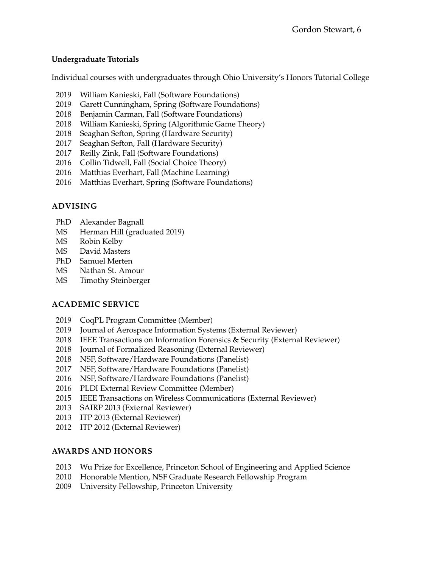## **Undergraduate Tutorials**

Individual courses with undergraduates through Ohio University's Honors Tutorial College

- 2019 William Kanieski, Fall (Software Foundations)
- 2019 Garett Cunningham, Spring (Software Foundations)
- 2018 Benjamin Carman, Fall (Software Foundations)
- 2018 William Kanieski, Spring (Algorithmic Game Theory)
- 2018 Seaghan Sefton, Spring (Hardware Security)
- 2017 Seaghan Sefton, Fall (Hardware Security)
- 2017 Reilly Zink, Fall (Software Foundations)
- 2016 Collin Tidwell, Fall (Social Choice Theory)
- 2016 Matthias Everhart, Fall (Machine Learning)
- 2016 Matthias Everhart, Spring (Software Foundations)

## **ADVISING**

- PhD Alexander Bagnall
- MS Herman Hill (graduated 2019)
- MS Robin Kelby
- MS David Masters
- PhD Samuel Merten
- MS Nathan St. Amour
- MS Timothy Steinberger

## **ACADEMIC SERVICE**

- 2019 CoqPL Program Committee (Member)
- 2019 Journal of Aerospace Information Systems (External Reviewer)
- 2018 IEEE Transactions on Information Forensics & Security (External Reviewer)
- 2018 Journal of Formalized Reasoning (External Reviewer)
- 2018 NSF, Software/Hardware Foundations (Panelist)
- 2017 NSF, Software/Hardware Foundations (Panelist)
- 2016 NSF, Software/Hardware Foundations (Panelist)
- 2016 PLDI External Review Committee (Member)
- 2015 IEEE Transactions on Wireless Communications (External Reviewer)
- 2013 SAIRP 2013 (External Reviewer)
- 2013 ITP 2013 (External Reviewer)
- 2012 ITP 2012 (External Reviewer)

## **AWARDS AND HONORS**

- 2013 Wu Prize for Excellence, Princeton School of Engineering and Applied Science
- 2010 Honorable Mention, NSF Graduate Research Fellowship Program
- 2009 University Fellowship, Princeton University